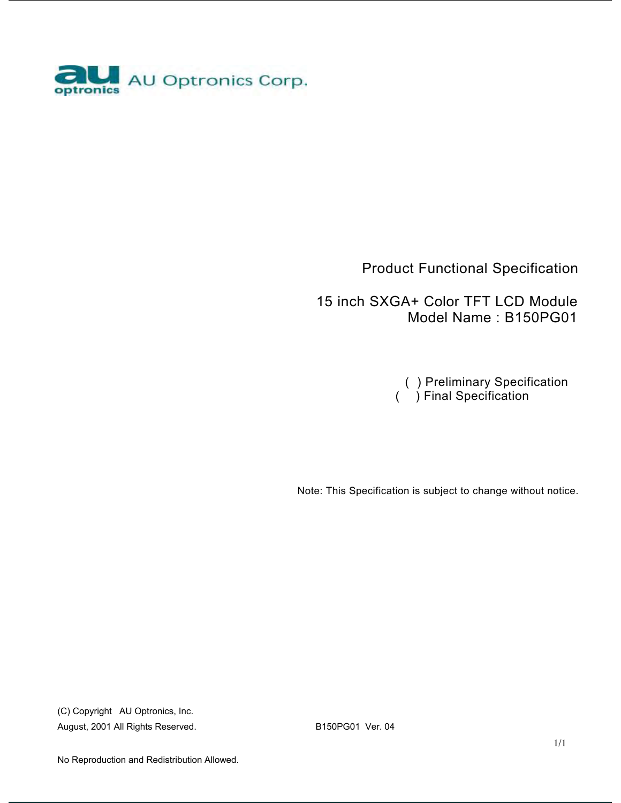

### Product Functional Specification

 15 inch SXGA+ Color TFT LCD Module Model Name : B150PG01

 ( ) Preliminary Specification ( ) Final Specification

Note: This Specification is subject to change without notice.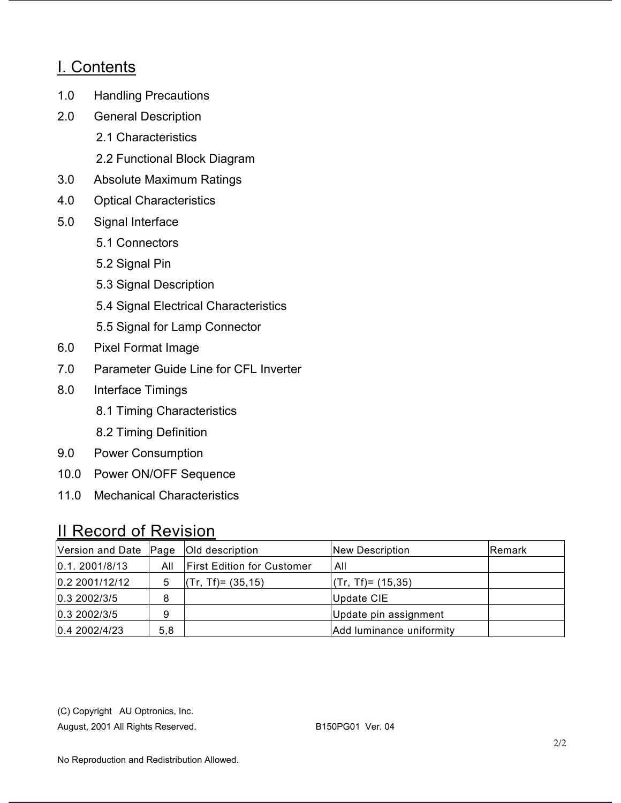### I. Contents

- 1.0 Handling Precautions
- 2.0 General Description
	- 2.1 Characteristics
	- 2.2 Functional Block Diagram
- 3.0 Absolute Maximum Ratings
- 4.0 Optical Characteristics
- 5.0 Signal Interface
	- 5.1 Connectors
	- 5.2 Signal Pin
	- 5.3 Signal Description
	- 5.4 Signal Electrical Characteristics
	- 5.5 Signal for Lamp Connector
- 6.0 Pixel Format Image
- 7.0 Parameter Guide Line for CFL Inverter
- 8.0 Interface Timings
	- 8.1 Timing Characteristics
	- 8.2 Timing Definition
- 9.0 Power Consumption
- 10.0 Power ON/OFF Sequence
- 11.0 Mechanical Characteristics

### II Record of Revision

| Version and Date Page |     | Old description                   | New Description          | <b>Remark</b> |
|-----------------------|-----|-----------------------------------|--------------------------|---------------|
| 0.1.2001/8/13         | All | <b>First Edition for Customer</b> | All                      |               |
| 0.2 2001/12/12        | 5   | $(Tr, Tf) = (35, 15)$             | $(Tr, Tf) = (15, 35)$    |               |
| 0.3 2002/3/5          | 8   |                                   | Update CIE               |               |
| 0.3 2002/3/5          | 9   |                                   | Update pin assignment    |               |
| 0.4 2002/4/23         | 5,8 |                                   | Add luminance uniformity |               |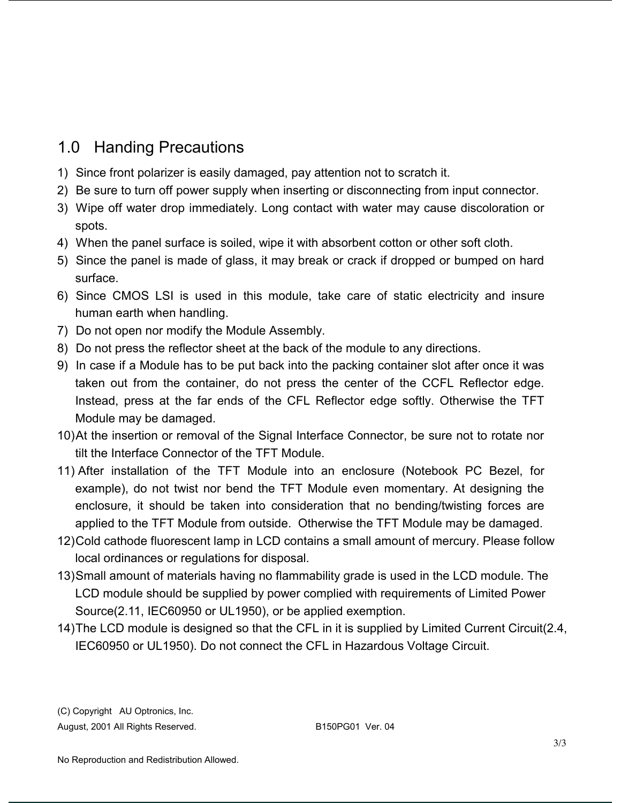# 1.0 Handing Precautions

- 1) Since front polarizer is easily damaged, pay attention not to scratch it.
- 2) Be sure to turn off power supply when inserting or disconnecting from input connector.
- 3) Wipe off water drop immediately. Long contact with water may cause discoloration or spots.
- 4) When the panel surface is soiled, wipe it with absorbent cotton or other soft cloth.
- 5) Since the panel is made of glass, it may break or crack if dropped or bumped on hard surface.
- 6) Since CMOS LSI is used in this module, take care of static electricity and insure human earth when handling.
- 7) Do not open nor modify the Module Assembly.
- 8) Do not press the reflector sheet at the back of the module to any directions.
- 9) In case if a Module has to be put back into the packing container slot after once it was taken out from the container, do not press the center of the CCFL Reflector edge. Instead, press at the far ends of the CFL Reflector edge softly. Otherwise the TFT Module may be damaged.
- 10)At the insertion or removal of the Signal Interface Connector, be sure not to rotate nor tilt the Interface Connector of the TFT Module.
- 11) After installation of the TFT Module into an enclosure (Notebook PC Bezel, for example), do not twist nor bend the TFT Module even momentary. At designing the enclosure, it should be taken into consideration that no bending/twisting forces are applied to the TFT Module from outside. Otherwise the TFT Module may be damaged.
- 12)Cold cathode fluorescent lamp in LCD contains a small amount of mercury. Please follow local ordinances or regulations for disposal.
- 13)Small amount of materials having no flammability grade is used in the LCD module. The LCD module should be supplied by power complied with requirements of Limited Power Source(2.11, IEC60950 or UL1950), or be applied exemption.
- 14)The LCD module is designed so that the CFL in it is supplied by Limited Current Circuit(2.4, IEC60950 or UL1950). Do not connect the CFL in Hazardous Voltage Circuit.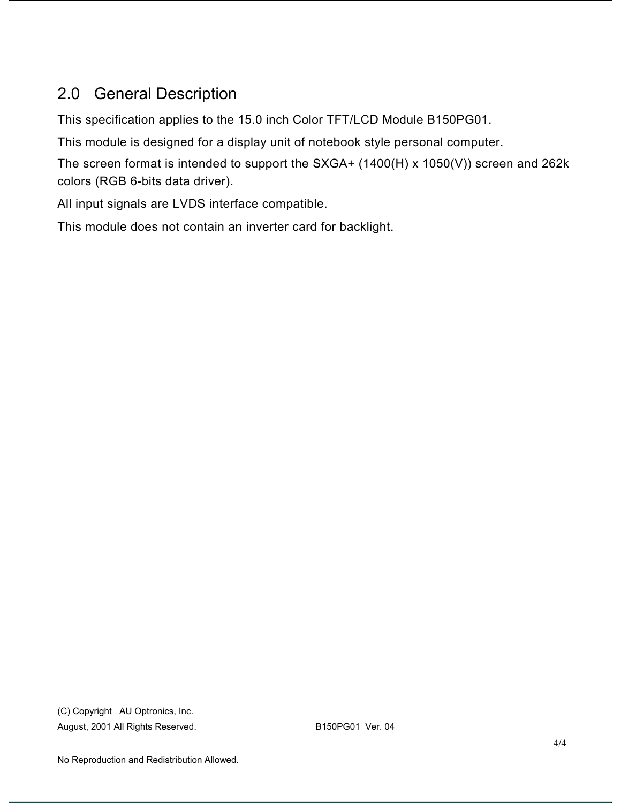# 2.0 General Description

This specification applies to the 15.0 inch Color TFT/LCD Module B150PG01.

This module is designed for a display unit of notebook style personal computer.

The screen format is intended to support the SXGA+ (1400(H) x 1050(V)) screen and 262k colors (RGB 6-bits data driver).

All input signals are LVDS interface compatible.

This module does not contain an inverter card for backlight.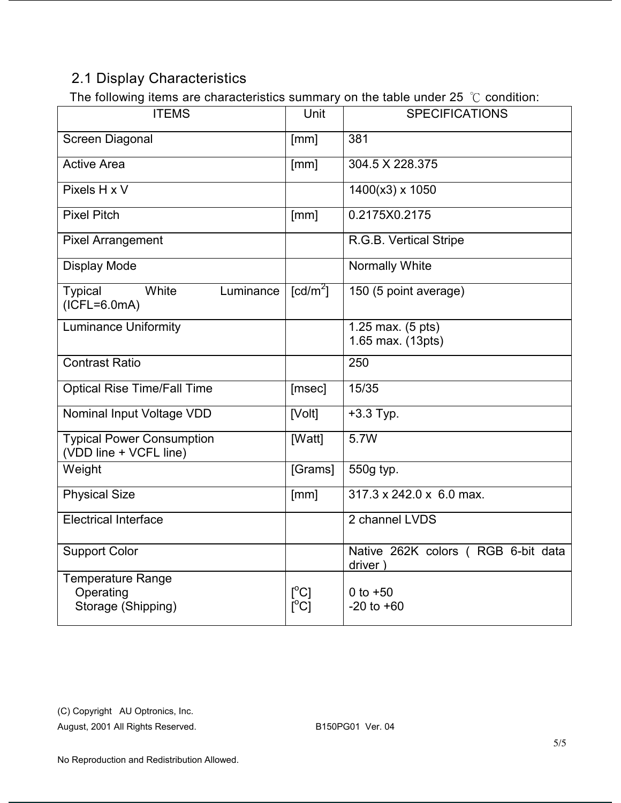### 2.1 Display Characteristics

The following items are characteristics summary on the table under 25 ℃ condition:

| <b>ITEMS</b>                                                | Unit                                                | <b>SPECIFICATIONS</b>                         |
|-------------------------------------------------------------|-----------------------------------------------------|-----------------------------------------------|
| Screen Diagonal                                             | [mm]                                                | 381                                           |
| <b>Active Area</b>                                          | [mm]                                                | 304.5 X 228.375                               |
| Pixels H x V                                                |                                                     | 1400(x3) x 1050                               |
| <b>Pixel Pitch</b>                                          | [mm]                                                | 0.2175X0.2175                                 |
| <b>Pixel Arrangement</b>                                    |                                                     | R.G.B. Vertical Stripe                        |
| <b>Display Mode</b>                                         |                                                     | Normally White                                |
| <b>Typical</b><br>White<br>Luminance<br>$(ICFL=6.0mA)$      | $\lceil cd/m^2 \rceil$                              | 150 (5 point average)                         |
| <b>Luminance Uniformity</b>                                 |                                                     | 1.25 max. (5 pts)<br>1.65 max. (13pts)        |
| <b>Contrast Ratio</b>                                       |                                                     | 250                                           |
| <b>Optical Rise Time/Fall Time</b>                          | [msec]                                              | 15/35                                         |
| Nominal Input Voltage VDD                                   | [Volt]                                              | $+3.3$ Typ.                                   |
| <b>Typical Power Consumption</b><br>(VDD line + VCFL line)  | [Watt]                                              | 5.7W                                          |
| Weight                                                      | [Grams]                                             | 550g typ.                                     |
| <b>Physical Size</b>                                        | [mm]                                                | 317.3 x 242.0 x 6.0 max.                      |
| <b>Electrical Interface</b>                                 |                                                     | 2 channel LVDS                                |
| <b>Support Color</b>                                        |                                                     | Native 262K colors (RGB 6-bit data<br>driver) |
| <b>Temperature Range</b><br>Operating<br>Storage (Shipping) | $\lceil{^{\circ}C}\rceil$<br>$\overline{C}^{\circ}$ | 0 to $+50$<br>$-20$ to $+60$                  |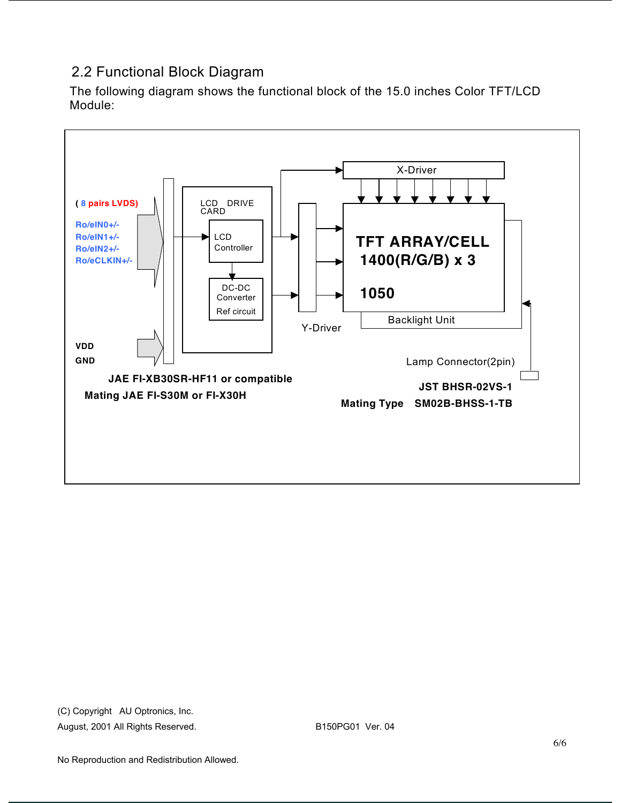### 2.2 Functional Block Diagram

The following diagram shows the functional block of the 15.0 inches Color TFT/LCD Module:

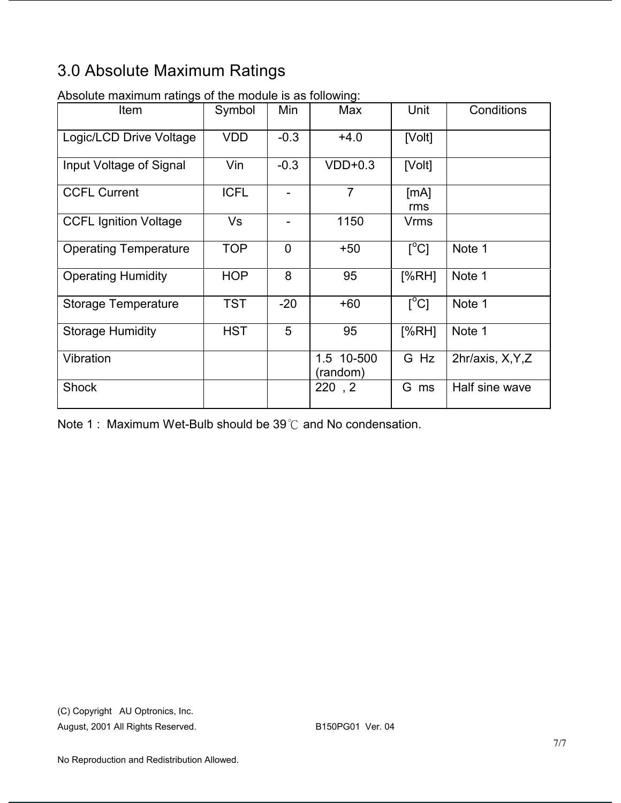# 3.0 Absolute Maximum Ratings

| wooldto maximum rutingo or tho modulo io do rollowing.<br>Item | Symbol      | Min            | Max                    | Unit                      | Conditions        |
|----------------------------------------------------------------|-------------|----------------|------------------------|---------------------------|-------------------|
| Logic/LCD Drive Voltage                                        | <b>VDD</b>  | $-0.3$         | $+4.0$                 | [Volt]                    |                   |
| Input Voltage of Signal                                        | Vin         | $-0.3$         | $VDD+0.3$              | [Volt]                    |                   |
| <b>CCFL Current</b>                                            | <b>ICFL</b> | $\overline{a}$ | $\overline{7}$         | [mA]<br>rms               |                   |
| <b>CCFL Ignition Voltage</b>                                   | Vs          |                | 1150                   | Vrms                      |                   |
| <b>Operating Temperature</b>                                   | <b>TOP</b>  | $\overline{0}$ | $+50$                  | $\lceil{^{\circ}C}\rceil$ | Note 1            |
| <b>Operating Humidity</b>                                      | <b>HOP</b>  | 8              | 95                     | [%RH]                     | Note 1            |
| <b>Storage Temperature</b>                                     | <b>TST</b>  | $-20$          | $+60$                  | $\sqrt{C}$                | Note 1            |
| <b>Storage Humidity</b>                                        | <b>HST</b>  | 5              | 95                     | [%RH]                     | Note 1            |
| Vibration                                                      |             |                | 1.5 10-500<br>(random) | G Hz                      | 2hr/axis, X, Y, Z |
| <b>Shock</b>                                                   |             |                | 220, 2                 | G ms                      | Half sine wave    |

Absolute maximum ratings of the module is as following:

Note 1 : Maximum Wet-Bulb should be 39℃ and No condensation.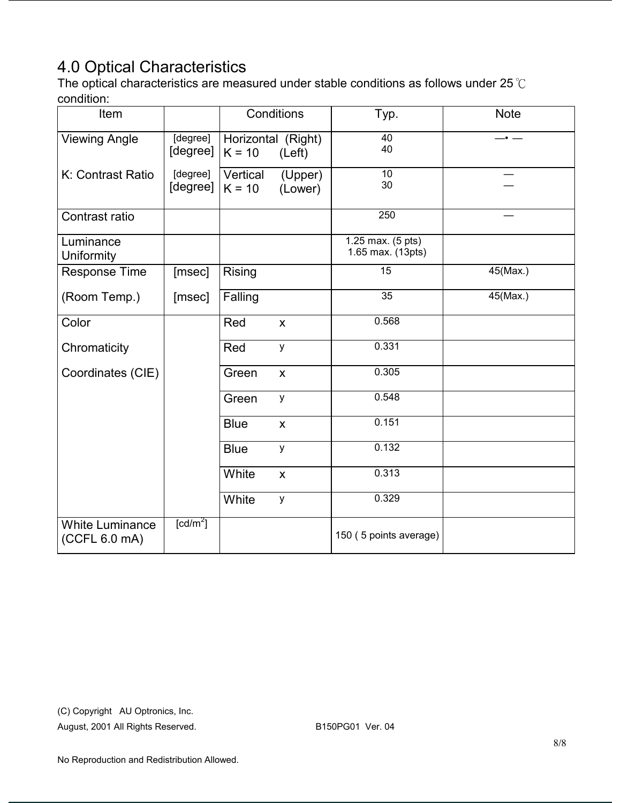# 4.0 Optical Characteristics

The optical characteristics are measured under stable conditions as follows under 25℃ condition:

| Item                                    |                        |                      | Conditions                   | Typ.                                   | <b>Note</b> |
|-----------------------------------------|------------------------|----------------------|------------------------------|----------------------------------------|-------------|
| <b>Viewing Angle</b>                    | [degree]<br>[degree]   | $K = 10$             | Horizontal (Right)<br>(Left) | 40<br>40                               |             |
| K: Contrast Ratio                       | [degree]<br>[degree]   | Vertical<br>$K = 10$ | (Upper)<br>(Lower)           | $\overline{10}$<br>30                  |             |
| Contrast ratio                          |                        |                      |                              | 250                                    |             |
| Luminance<br>Uniformity                 |                        |                      |                              | 1.25 max. (5 pts)<br>1.65 max. (13pts) |             |
| <b>Response Time</b>                    | [msec]                 | Rising               |                              | 15                                     | 45(Max.)    |
| (Room Temp.)                            | [msec]                 | Falling              |                              | $\overline{35}$                        | 45(Max.)    |
| Color                                   |                        | Red                  | $\mathsf{X}$                 | 0.568                                  |             |
| Chromaticity                            |                        | Red                  | y                            | 0.331                                  |             |
| Coordinates (CIE)                       |                        | Green                | $\boldsymbol{\mathsf{X}}$    | 0.305                                  |             |
|                                         |                        | Green                | y                            | 0.548                                  |             |
|                                         |                        | <b>Blue</b>          | $\boldsymbol{\mathsf{X}}$    | 0.151                                  |             |
|                                         |                        | <b>Blue</b>          | у                            | 0.132                                  |             |
|                                         |                        | White                | $\mathsf{x}$                 | 0.313                                  |             |
|                                         |                        | White                | y                            | 0.329                                  |             |
| <b>White Luminance</b><br>(CCFL 6.0 mA) | $\lceil cd/m^2 \rceil$ |                      |                              | 150 (5 points average)                 |             |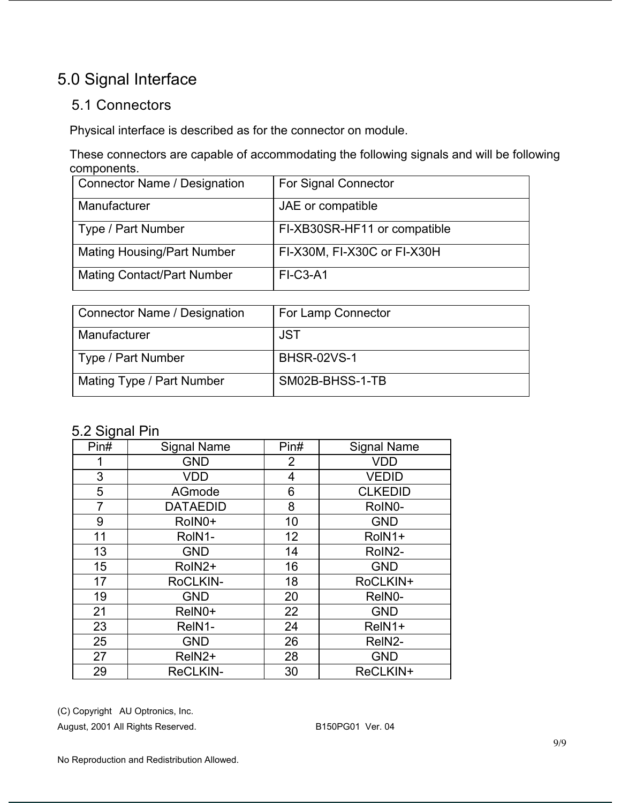# 5.0 Signal Interface

### 5.1 Connectors

Physical interface is described as for the connector on module.

These connectors are capable of accommodating the following signals and will be following components.

| <b>Connector Name / Designation</b> | <b>For Signal Connector</b>  |
|-------------------------------------|------------------------------|
| Manufacturer                        | JAE or compatible            |
| Type / Part Number                  | FI-XB30SR-HF11 or compatible |
| <b>Mating Housing/Part Number</b>   | FI-X30M, FI-X30C or FI-X30H  |
| <b>Mating Contact/Part Number</b>   | <b>FI-C3-A1</b>              |

| <b>Connector Name / Designation</b> | For Lamp Connector |
|-------------------------------------|--------------------|
| Manufacturer                        | <b>JST</b>         |
| Type / Part Number                  | <b>BHSR-02VS-1</b> |
| Mating Type / Part Number           | SM02B-BHSS-1-TB    |

#### 5.2 Signal Pin

| ◡<br>Pin# | <b>Signal Name</b> | Pin#           | <b>Signal Name</b> |
|-----------|--------------------|----------------|--------------------|
|           | <b>GND</b>         | $\overline{2}$ | <b>VDD</b>         |
| 3         | <b>VDD</b>         | 4              | <b>VEDID</b>       |
| 5         | AGmode             | 6              | <b>CLKEDID</b>     |
| 7         | <b>DATAEDID</b>    | 8              | RoIN0-             |
| 9         | RoIN0+             | 10             | <b>GND</b>         |
| 11        | RoIN1-             | 12             | RoIN1+             |
| 13        | <b>GND</b>         | 14             | RoIN2-             |
| 15        | RoIN <sub>2+</sub> | 16             | <b>GND</b>         |
| 17        | RoCLKIN-           | 18             | RoCLKIN+           |
| 19        | <b>GND</b>         | 20             | ReIN0-             |
| 21        | ReIN0+             | 22             | <b>GND</b>         |
| 23        | ReIN1-             | 24             | ReIN1+             |
| 25        | <b>GND</b>         | 26             | ReIN2-             |
| 27        | ReIN <sub>2+</sub> | 28             | <b>GND</b>         |
| 29        | ReCLKIN-           | 30             | ReCLKIN+           |

(C) Copyright AU Optronics, Inc.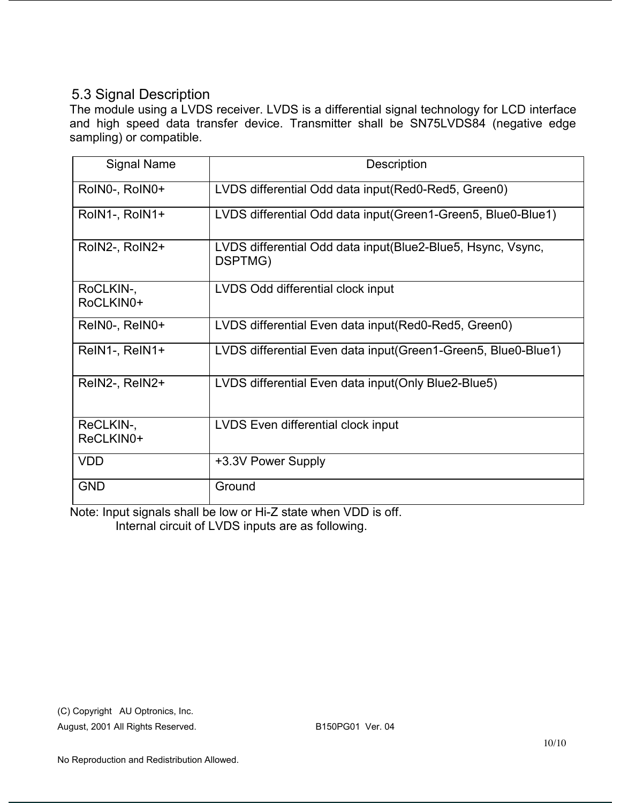#### 5.3 Signal Description

The module using a LVDS receiver. LVDS is a differential signal technology for LCD interface and high speed data transfer device. Transmitter shall be SN75LVDS84 (negative edge sampling) or compatible.

| <b>Signal Name</b>     | Description                                                             |
|------------------------|-------------------------------------------------------------------------|
| RoIN0-, RoIN0+         | LVDS differential Odd data input (Red0-Red5, Green0)                    |
| RoIN1-, RoIN1+         | LVDS differential Odd data input (Green 1-Green 5, Blue 0-Blue 1)       |
| RoIN2-, RoIN2+         | LVDS differential Odd data input (Blue2-Blue5, Hsync, Vsync,<br>DSPTMG) |
| RoCLKIN-,<br>RoCLKIN0+ | LVDS Odd differential clock input                                       |
| ReINO-, ReINO+         | LVDS differential Even data input (Red0-Red5, Green0)                   |
| ReIN1-, ReIN1+         | LVDS differential Even data input (Green1-Green5, Blue0-Blue1)          |
| ReIN2-, ReIN2+         | LVDS differential Even data input (Only Blue2-Blue5)                    |
| ReCLKIN-,<br>ReCLKIN0+ | LVDS Even differential clock input                                      |
| <b>VDD</b>             | +3.3V Power Supply                                                      |
| <b>GND</b>             | Ground                                                                  |

Note: Input signals shall be low or Hi-Z state when VDD is off. Internal circuit of LVDS inputs are as following.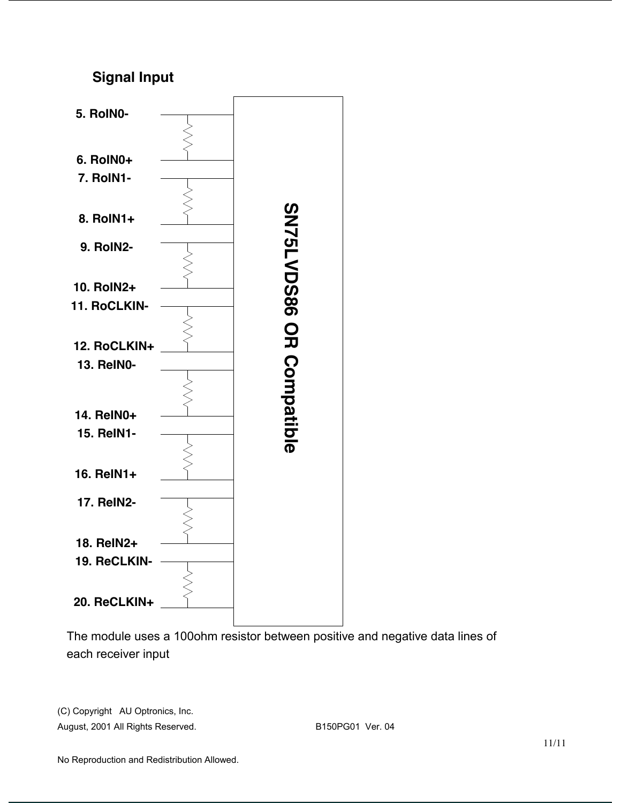### **Signal Input**



The module uses a 100ohm resistor between positive and negative data lines of each receiver input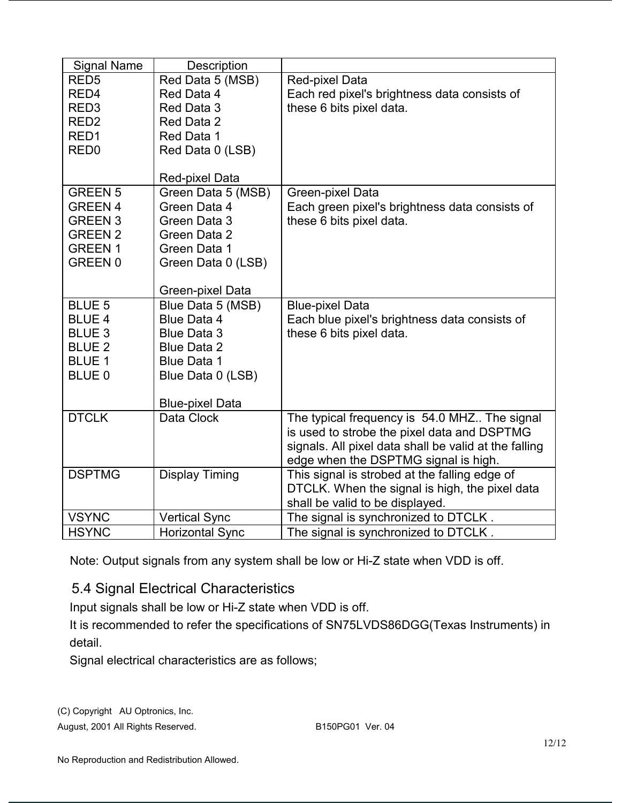| <b>Signal Name</b> | Description            |                                                       |
|--------------------|------------------------|-------------------------------------------------------|
| RED <sub>5</sub>   | Red Data 5 (MSB)       | Red-pixel Data                                        |
| RED4               | Red Data 4             | Each red pixel's brightness data consists of          |
| RED <sub>3</sub>   | Red Data 3             | these 6 bits pixel data.                              |
| RED <sub>2</sub>   | Red Data 2             |                                                       |
| RED <sub>1</sub>   | Red Data 1             |                                                       |
| RED <sub>0</sub>   | Red Data 0 (LSB)       |                                                       |
|                    | Red-pixel Data         |                                                       |
| <b>GREEN 5</b>     | Green Data 5 (MSB)     | Green-pixel Data                                      |
| <b>GREEN 4</b>     | Green Data 4           | Each green pixel's brightness data consists of        |
| <b>GREEN 3</b>     | Green Data 3           | these 6 bits pixel data.                              |
| <b>GREEN 2</b>     | Green Data 2           |                                                       |
| <b>GREEN1</b>      | Green Data 1           |                                                       |
| <b>GREEN 0</b>     | Green Data 0 (LSB)     |                                                       |
|                    |                        |                                                       |
|                    | Green-pixel Data       |                                                       |
| <b>BLUE 5</b>      | Blue Data 5 (MSB)      | <b>Blue-pixel Data</b>                                |
| <b>BLUE 4</b>      | Blue Data 4            | Each blue pixel's brightness data consists of         |
| <b>BLUE 3</b>      | <b>Blue Data 3</b>     | these 6 bits pixel data.                              |
| <b>BLUE 2</b>      | <b>Blue Data 2</b>     |                                                       |
| <b>BLUE 1</b>      | <b>Blue Data 1</b>     |                                                       |
| BLUE 0             | Blue Data 0 (LSB)      |                                                       |
|                    | <b>Blue-pixel Data</b> |                                                       |
| <b>DTCLK</b>       | Data Clock             | The typical frequency is 54.0 MHZ The signal          |
|                    |                        | is used to strobe the pixel data and DSPTMG           |
|                    |                        | signals. All pixel data shall be valid at the falling |
|                    |                        | edge when the DSPTMG signal is high.                  |
| <b>DSPTMG</b>      | <b>Display Timing</b>  | This signal is strobed at the falling edge of         |
|                    |                        | DTCLK. When the signal is high, the pixel data        |
|                    |                        | shall be valid to be displayed.                       |
| <b>VSYNC</b>       | <b>Vertical Sync</b>   | The signal is synchronized to DTCLK.                  |
| <b>HSYNC</b>       | <b>Horizontal Sync</b> | The signal is synchronized to DTCLK.                  |

Note: Output signals from any system shall be low or Hi-Z state when VDD is off.

#### 5.4 Signal Electrical Characteristics

Input signals shall be low or Hi-Z state when VDD is off.

It is recommended to refer the specifications of SN75LVDS86DGG(Texas Instruments) in detail.

Signal electrical characteristics are as follows;

(C) Copyright AU Optronics, Inc.

August, 2001 All Rights Reserved. August, 2001 Ver. 04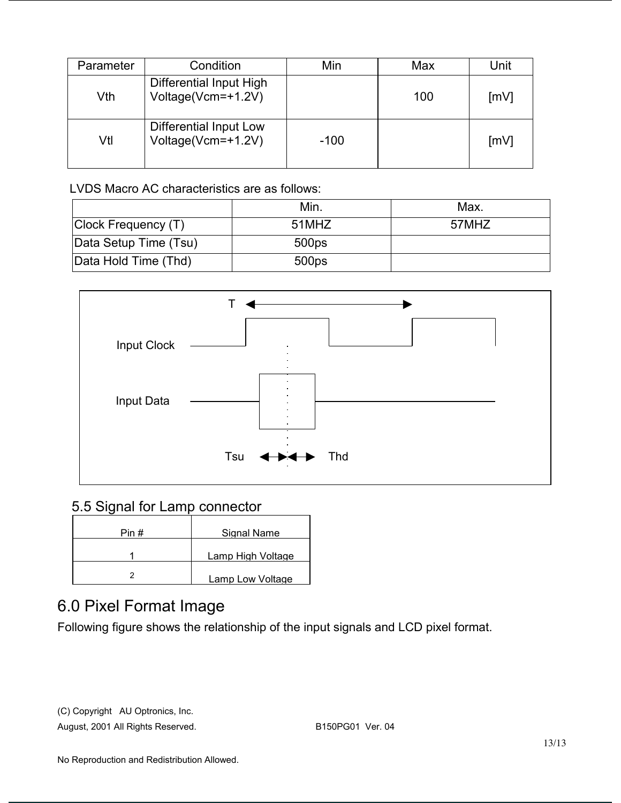| Parameter | Condition                                     | Min    | Max | Unit |
|-----------|-----------------------------------------------|--------|-----|------|
| Vth       | Differential Input High<br>Voltage(Vcm=+1.2V) |        | 100 | [mV] |
| Vtl       | Differential Input Low<br>Voltage(Vcm=+1.2V)  | $-100$ |     | [mV] |

LVDS Macro AC characteristics are as follows:

|                       | Min.              | Max.  |
|-----------------------|-------------------|-------|
| Clock Frequency (T)   | 51MHZ             | 57MHZ |
| Data Setup Time (Tsu) | 500ps             |       |
| Data Hold Time (Thd)  | 500 <sub>ps</sub> |       |



### 5.5 Signal for Lamp connector

| Pin # | Signal Name       |
|-------|-------------------|
|       | Lamp High Voltage |
|       | Lamp Low Voltage  |

# 6.0 Pixel Format Image

Following figure shows the relationship of the input signals and LCD pixel format.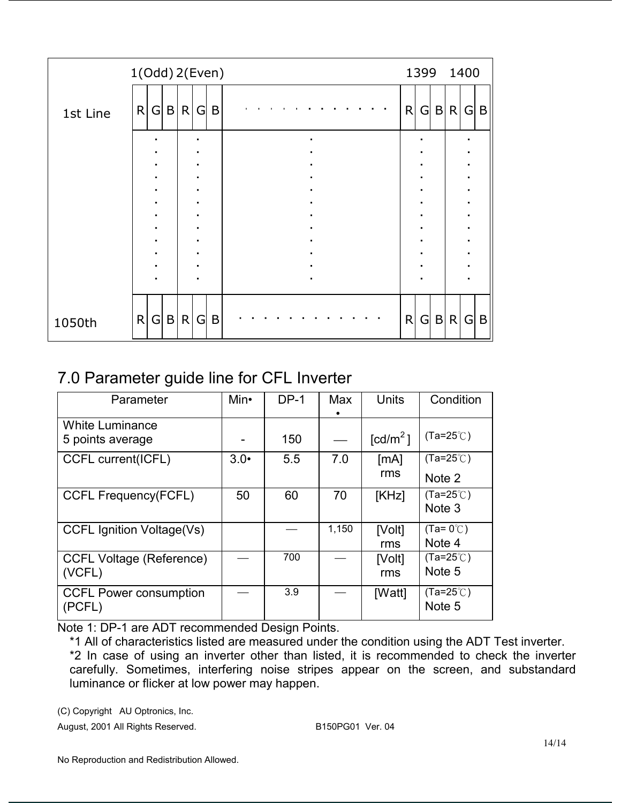|          | 1(Odd) 2(Even)                                                   | 1399 1400 |   |                |   |   |              |
|----------|------------------------------------------------------------------|-----------|---|----------------|---|---|--------------|
| 1st Line | R<br>G B <br>$\mathsf{R}$<br>B<br>G                              | R         | G | B <sub>1</sub> | R | G | $\mathsf{B}$ |
|          | п<br>$\blacksquare$                                              |           |   |                |   |   |              |
|          | $\blacksquare$                                                   |           |   |                |   |   |              |
|          | $\blacksquare$<br>$\blacksquare$<br>$\blacksquare$<br>п          |           | п |                |   |   |              |
|          |                                                                  |           |   |                |   |   |              |
|          | $\blacksquare$<br>$\blacksquare$                                 |           |   |                |   |   |              |
|          | п                                                                |           |   |                |   |   |              |
|          | $\blacksquare$<br>$\blacksquare$                                 |           |   |                |   |   |              |
|          | $\blacksquare$                                                   |           |   |                |   |   |              |
|          |                                                                  |           |   |                |   |   |              |
| 1050th   | R<br> B <br>G<br>$\left\lvert \mathsf{R} \right\rvert$<br>B<br>G | R         | G | B              | R | G | $\vert$ B    |

# 7.0 Parameter guide line for CFL Inverter

|                                  | Min•         | $DP-1$ |       |                      |                    |
|----------------------------------|--------------|--------|-------|----------------------|--------------------|
| Parameter                        |              |        | Max   | <b>Units</b>         | Condition          |
|                                  |              |        |       |                      |                    |
| <b>White Luminance</b>           |              |        |       |                      |                    |
| 5 points average                 |              | 150    |       | [cd/m <sup>2</sup> ] | $(Ta=25^{\circ}C)$ |
|                                  |              |        |       |                      |                    |
| CCFL current(ICFL)               | $3.0\bullet$ | 5.5    | 7.0   | [mA]                 | $(Ta=25^{\circ}C)$ |
|                                  |              |        |       | rms                  |                    |
|                                  |              |        |       |                      | Note 2             |
| <b>CCFL Frequency(FCFL)</b>      | 50           | 60     | 70    | [KHz]                | $(Ta=25^{\circ}C)$ |
|                                  |              |        |       |                      | Note 3             |
|                                  |              |        |       |                      |                    |
| <b>CCFL Ignition Voltage(Vs)</b> |              |        | 1,150 | [Volt]               | $(Ta=0^{\circ}C)$  |
|                                  |              |        |       | rms                  | Note 4             |
| <b>CCFL Voltage (Reference)</b>  |              | 700    |       | [Volt]               | $(Ta=25^{\circ}C)$ |
| (VCFL)                           |              |        |       | rms                  | Note 5             |
|                                  |              |        |       |                      |                    |
| <b>CCFL Power consumption</b>    |              | 3.9    |       | [Watt]               | $(Ta=25^{\circ}C)$ |
| (PCFL)                           |              |        |       |                      | Note 5             |
|                                  |              |        |       |                      |                    |

Note 1: DP-1 are ADT recommended Design Points.

\*1 All of characteristics listed are measured under the condition using the ADT Test inverter. \*2 In case of using an inverter other than listed, it is recommended to check the inverter carefully. Sometimes, interfering noise stripes appear on the screen, and substandard luminance or flicker at low power may happen.

(C) Copyright AU Optronics, Inc.

August, 2001 All Rights Reserved. August, 2001 Ver. 04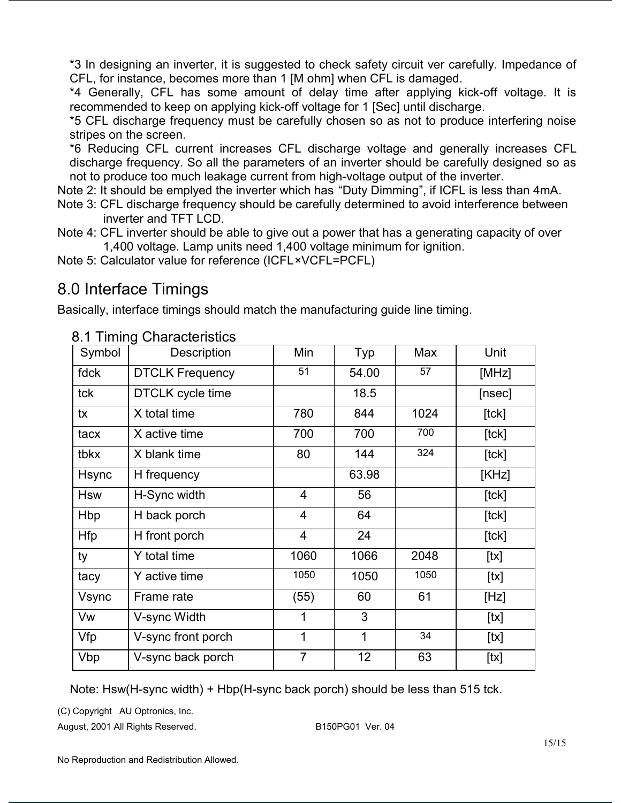\*3 In designing an inverter, it is suggested to check safety circuit ver carefully. Impedance of CFL, for instance, becomes more than 1 [M ohm] when CFL is damaged.

\*4 Generally, CFL has some amount of delay time after applying kick-off voltage. It is recommended to keep on applying kick-off voltage for 1 [Sec] until discharge.

\*5 CFL discharge frequency must be carefully chosen so as not to produce interfering noise stripes on the screen.

\*6 Reducing CFL current increases CFL discharge voltage and generally increases CFL discharge frequency. So all the parameters of an inverter should be carefully designed so as not to produce too much leakage current from high-voltage output of the inverter.

Note 2: It should be emplyed the inverter which has "Duty Dimming", if ICFL is less than 4mA.

- Note 3: CFL discharge frequency should be carefully determined to avoid interference between inverter and TFT LCD.
- Note 4: CFL inverter should be able to give out a power that has a generating capacity of over 1,400 voltage. Lamp units need 1,400 voltage minimum for ignition.

Note 5: Calculator value for reference (ICFL×VCFL=PCFL)

# 8.0 Interface Timings

Basically, interface timings should match the manufacturing guide line timing.

| Symbol       | Description            | Min            | Typ   | Max  | Unit   |
|--------------|------------------------|----------------|-------|------|--------|
| fdck         | <b>DTCLK Frequency</b> | 51             | 54.00 | 57   | [MHz]  |
| tck          | DTCLK cycle time       |                | 18.5  |      | [nsec] |
| tx           | X total time           | 780            | 844   | 1024 | [tck]  |
| tacx         | X active time          | 700            | 700   | 700  | [tck]  |
| tbkx         | X blank time           | 80             | 144   | 324  | [tck]  |
| <b>Hsync</b> | H frequency            |                | 63.98 |      | [KHz]  |
| <b>Hsw</b>   | H-Sync width           | $\overline{4}$ | 56    |      | [tck]  |
| Hbp          | H back porch           | 4              | 64    |      | [tck]  |
| <b>Hfp</b>   | H front porch          | $\overline{4}$ | 24    |      | [tck]  |
| ty           | Y total time           | 1060           | 1066  | 2048 | [tx]   |
| tacy         | Y active time          | 1050           | 1050  | 1050 | [tx]   |
| Vsync        | Frame rate             | (55)           | 60    | 61   | [Hz]   |
| Vw           | V-sync Width           |                | 3     |      | [tx]   |
| Vfp          | V-sync front porch     | 1              | 1     | 34   | [tx]   |
| Vbp          | V-sync back porch      | $\overline{7}$ | 12    | 63   | [tx]   |

#### 8.1 Timing Characteristics

Note: Hsw(H-sync width) + Hbp(H-sync back porch) should be less than 515 tck.

(C) Copyright AU Optronics, Inc.

August, 2001 All Rights Reserved. B150PG01 Ver. 04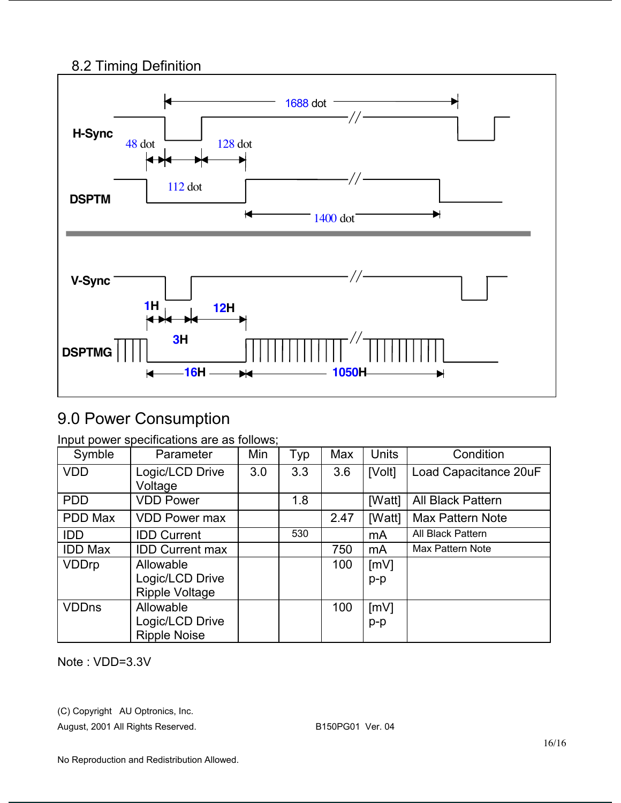### 8.2 Timing Definition



# 9.0 Power Consumption

#### Input power specifications are as follows;

| Symble         | Parameter              | Min | Typ | Max  | <b>Units</b> | Condition               |
|----------------|------------------------|-----|-----|------|--------------|-------------------------|
| <b>VDD</b>     | Logic/LCD Drive        | 3.0 | 3.3 | 3.6  | [Volt]       | Load Capacitance 20uF   |
|                | Voltage                |     |     |      |              |                         |
| <b>PDD</b>     | <b>VDD Power</b>       |     | 1.8 |      | [Watt]       | All Black Pattern       |
| PDD Max        | <b>VDD Power max</b>   |     |     | 2.47 | [Watt]       | <b>Max Pattern Note</b> |
| <b>IDD</b>     | <b>IDD Current</b>     |     | 530 |      | mA           | All Black Pattern       |
| <b>IDD Max</b> | <b>IDD Current max</b> |     |     | 750  | mA           | Max Pattern Note        |
| VDDrp          | Allowable              |     |     | 100  | [mV]         |                         |
|                | Logic/LCD Drive        |     |     |      | $p-p$        |                         |
|                | <b>Ripple Voltage</b>  |     |     |      |              |                         |
| <b>VDDns</b>   | Allowable              |     |     | 100  | [mV]         |                         |
|                | Logic/LCD Drive        |     |     |      | $p-p$        |                         |
|                | <b>Ripple Noise</b>    |     |     |      |              |                         |

Note : VDD=3.3V

(C) Copyright AU Optronics, Inc.

August, 2001 All Rights Reserved. B150PG01 Ver. 04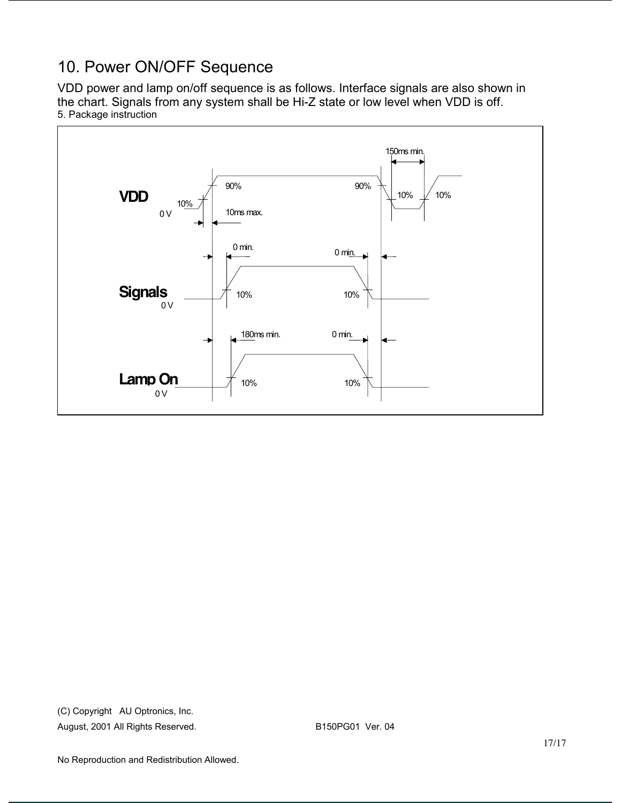## 10. Power ON/OFF Sequence

VDD power and lamp on/off sequence is as follows. Interface signals are also shown in the chart. Signals from any system shall be Hi-Z state or low level when VDD is off. 5. Package instruction

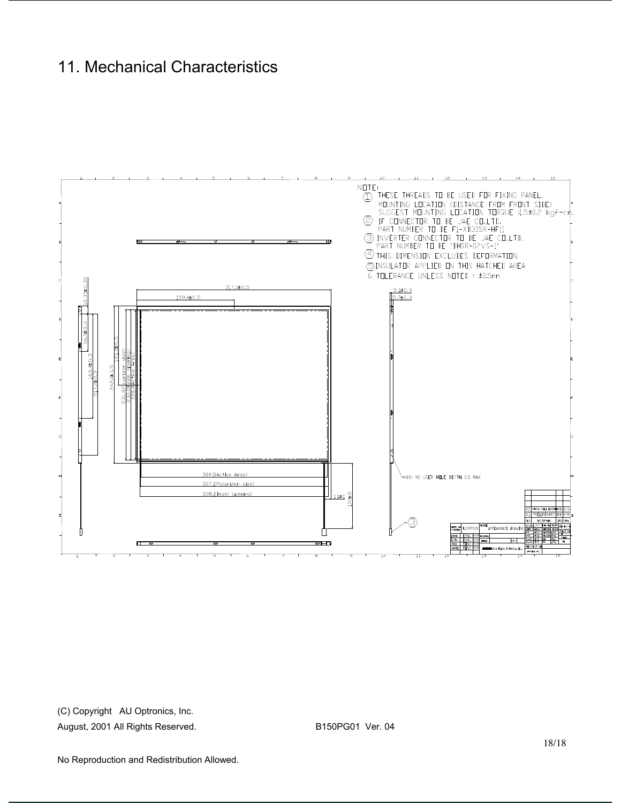### 11. Mechanical Characteristics